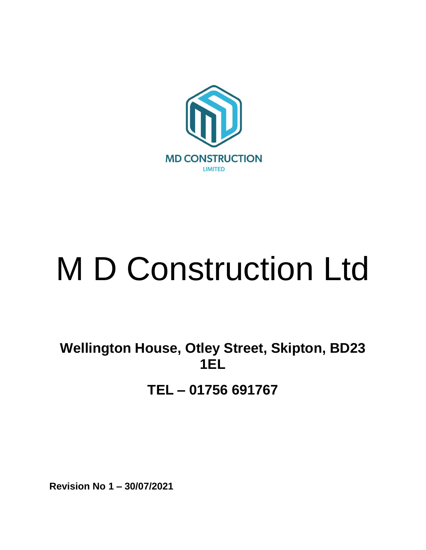

# M D Construction Ltd

**Wellington House, Otley Street, Skipton, BD23 1EL**

**TEL – 01756 691767**

**Revision No 1 – 30/07/2021**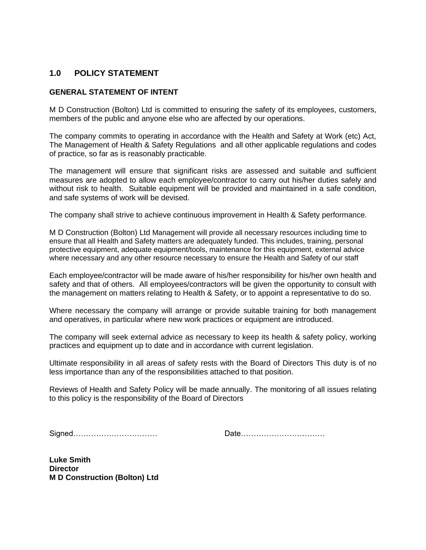## **1.0 POLICY STATEMENT**

## **GENERAL STATEMENT OF INTENT**

M D Construction (Bolton) Ltd is committed to ensuring the safety of its employees, customers, members of the public and anyone else who are affected by our operations.

The company commits to operating in accordance with the Health and Safety at Work (etc) Act, The Management of Health & Safety Regulations and all other applicable regulations and codes of practice, so far as is reasonably practicable.

The management will ensure that significant risks are assessed and suitable and sufficient measures are adopted to allow each employee/contractor to carry out his/her duties safely and without risk to health. Suitable equipment will be provided and maintained in a safe condition, and safe systems of work will be devised.

The company shall strive to achieve continuous improvement in Health & Safety performance.

M D Construction (Bolton) Ltd Management will provide all necessary resources including time to ensure that all Health and Safety matters are adequately funded. This includes, training, personal protective equipment, adequate equipment/tools, maintenance for this equipment, external advice where necessary and any other resource necessary to ensure the Health and Safety of our staff

Each employee/contractor will be made aware of his/her responsibility for his/her own health and safety and that of others. All employees/contractors will be given the opportunity to consult with the management on matters relating to Health & Safety, or to appoint a representative to do so.

Where necessary the company will arrange or provide suitable training for both management and operatives, in particular where new work practices or equipment are introduced.

The company will seek external advice as necessary to keep its health & safety policy, working practices and equipment up to date and in accordance with current legislation.

Ultimate responsibility in all areas of safety rests with the Board of Directors This duty is of no less importance than any of the responsibilities attached to that position.

Reviews of Health and Safety Policy will be made annually. The monitoring of all issues relating to this policy is the responsibility of the Board of Directors

Signed…………………………… Date……………………………

**Luke Smith Director M D Construction (Bolton) Ltd**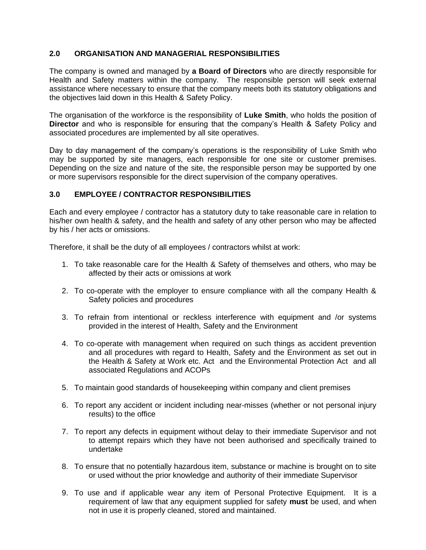## **2.0 ORGANISATION AND MANAGERIAL RESPONSIBILITIES**

The company is owned and managed by **a Board of Directors** who are directly responsible for Health and Safety matters within the company. The responsible person will seek external assistance where necessary to ensure that the company meets both its statutory obligations and the objectives laid down in this Health & Safety Policy.

The organisation of the workforce is the responsibility of **Luke Smith**, who holds the position of **Director** and who is responsible for ensuring that the company's Health & Safety Policy and associated procedures are implemented by all site operatives.

Day to day management of the company's operations is the responsibility of Luke Smith who may be supported by site managers, each responsible for one site or customer premises. Depending on the size and nature of the site, the responsible person may be supported by one or more supervisors responsible for the direct supervision of the company operatives.

## **3.0 EMPLOYEE / CONTRACTOR RESPONSIBILITIES**

Each and every employee / contractor has a statutory duty to take reasonable care in relation to his/her own health & safety, and the health and safety of any other person who may be affected by his / her acts or omissions.

Therefore, it shall be the duty of all employees / contractors whilst at work:

- 1. To take reasonable care for the Health & Safety of themselves and others, who may be affected by their acts or omissions at work
- 2. To co-operate with the employer to ensure compliance with all the company Health & Safety policies and procedures
- 3. To refrain from intentional or reckless interference with equipment and /or systems provided in the interest of Health, Safety and the Environment
- 4. To co-operate with management when required on such things as accident prevention and all procedures with regard to Health, Safety and the Environment as set out in the Health & Safety at Work etc. Act and the Environmental Protection Act and all associated Regulations and ACOPs
- 5. To maintain good standards of housekeeping within company and client premises
- 6. To report any accident or incident including near-misses (whether or not personal injury results) to the office
- 7. To report any defects in equipment without delay to their immediate Supervisor and not to attempt repairs which they have not been authorised and specifically trained to undertake
- 8. To ensure that no potentially hazardous item, substance or machine is brought on to site or used without the prior knowledge and authority of their immediate Supervisor
- 9. To use and if applicable wear any item of Personal Protective Equipment. It is a requirement of law that any equipment supplied for safety **must** be used, and when not in use it is properly cleaned, stored and maintained.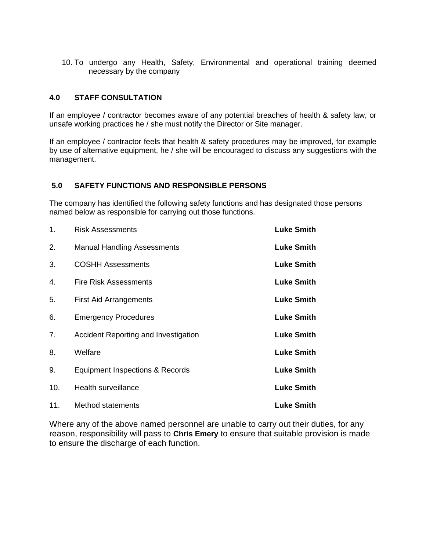10. To undergo any Health, Safety, Environmental and operational training deemed necessary by the company

## **4.0 STAFF CONSULTATION**

If an employee / contractor becomes aware of any potential breaches of health & safety law, or unsafe working practices he / she must notify the Director or Site manager.

If an employee / contractor feels that health & safety procedures may be improved, for example by use of alternative equipment, he / she will be encouraged to discuss any suggestions with the management.

## **5.0 SAFETY FUNCTIONS AND RESPONSIBLE PERSONS**

The company has identified the following safety functions and has designated those persons named below as responsible for carrying out those functions.

| 1 <sub>1</sub> | <b>Risk Assessments</b>              | <b>Luke Smith</b> |
|----------------|--------------------------------------|-------------------|
| 2.             | <b>Manual Handling Assessments</b>   | <b>Luke Smith</b> |
| 3.             | <b>COSHH Assessments</b>             | <b>Luke Smith</b> |
| 4.             | <b>Fire Risk Assessments</b>         | <b>Luke Smith</b> |
| 5.             | <b>First Aid Arrangements</b>        | <b>Luke Smith</b> |
| 6.             | <b>Emergency Procedures</b>          | <b>Luke Smith</b> |
| 7.             | Accident Reporting and Investigation | <b>Luke Smith</b> |
| 8.             | Welfare                              | <b>Luke Smith</b> |
| 9.             | Equipment Inspections & Records      | <b>Luke Smith</b> |
| 10.            | Health surveillance                  | <b>Luke Smith</b> |
| 11.            | Method statements                    | <b>Luke Smith</b> |

Where any of the above named personnel are unable to carry out their duties, for any reason, responsibility will pass to **Chris Emery** to ensure that suitable provision is made to ensure the discharge of each function.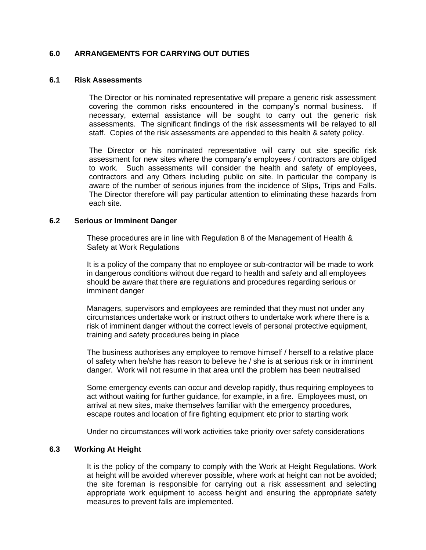## **6.0 ARRANGEMENTS FOR CARRYING OUT DUTIES**

#### **6.1 Risk Assessments**

The Director or his nominated representative will prepare a generic risk assessment covering the common risks encountered in the company's normal business. If necessary, external assistance will be sought to carry out the generic risk assessments. The significant findings of the risk assessments will be relayed to all staff. Copies of the risk assessments are appended to this health & safety policy.

The Director or his nominated representative will carry out site specific risk assessment for new sites where the company's employees / contractors are obliged to work. Such assessments will consider the health and safety of employees, contractors and any Others including public on site. In particular the company is aware of the number of serious injuries from the incidence of Slips**,** Trips and Falls. The Director therefore will pay particular attention to eliminating these hazards from each site.

#### **6.2 Serious or Imminent Danger**

These procedures are in line with Regulation 8 of the Management of Health & Safety at Work Regulations

It is a policy of the company that no employee or sub-contractor will be made to work in dangerous conditions without due regard to health and safety and all employees should be aware that there are regulations and procedures regarding serious or imminent danger

Managers, supervisors and employees are reminded that they must not under any circumstances undertake work or instruct others to undertake work where there is a risk of imminent danger without the correct levels of personal protective equipment, training and safety procedures being in place

The business authorises any employee to remove himself / herself to a relative place of safety when he/she has reason to believe he / she is at serious risk or in imminent danger. Work will not resume in that area until the problem has been neutralised

Some emergency events can occur and develop rapidly, thus requiring employees to act without waiting for further guidance, for example, in a fire. Employees must, on arrival at new sites, make themselves familiar with the emergency procedures, escape routes and location of fire fighting equipment etc prior to starting work

Under no circumstances will work activities take priority over safety considerations

#### **6.3 Working At Height**

It is the policy of the company to comply with the Work at Height Regulations. Work at height will be avoided wherever possible, where work at height can not be avoided; the site foreman is responsible for carrying out a risk assessment and selecting appropriate work equipment to access height and ensuring the appropriate safety measures to prevent falls are implemented.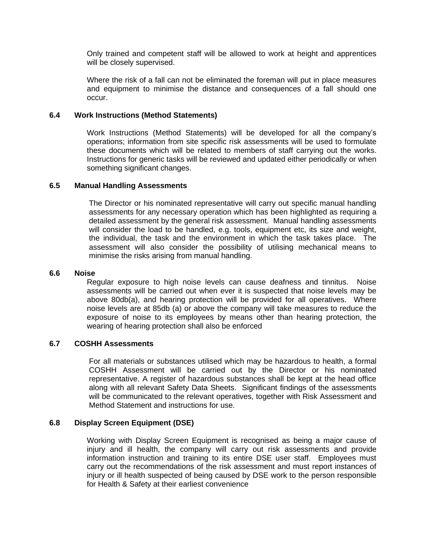Only trained and competent staff will be allowed to work at height and apprentices will be closely supervised.

Where the risk of a fall can not be eliminated the foreman will put in place measures and equipment to minimise the distance and consequences of a fall should one occur.

#### **6.4 Work Instructions (Method Statements)**

Work Instructions (Method Statements) will be developed for all the company's operations; information from site specific risk assessments will be used to formulate these documents which will be related to members of staff carrying out the works. Instructions for generic tasks will be reviewed and updated either periodically or when something significant changes.

#### **6.5 Manual Handling Assessments**

The Director or his nominated representative will carry out specific manual handling assessments for any necessary operation which has been highlighted as requiring a detailed assessment by the general risk assessment. Manual handling assessments will consider the load to be handled, e.g. tools, equipment etc, its size and weight, the individual, the task and the environment in which the task takes place. The assessment will also consider the possibility of utilising mechanical means to minimise the risks arising from manual handling.

#### **6.6 Noise**

Regular exposure to high noise levels can cause deafness and tinnitus. Noise assessments will be carried out when ever it is suspected that noise levels may be above 80db(a), and hearing protection will be provided for all operatives. Where noise levels are at 85db (a) or above the company will take measures to reduce the exposure of noise to its employees by means other than hearing protection, the wearing of hearing protection shall also be enforced

## **6.7 COSHH Assessments**

For all materials or substances utilised which may be hazardous to health, a formal COSHH Assessment will be carried out by the Director or his nominated representative. A register of hazardous substances shall be kept at the head office along with all relevant Safety Data Sheets. Significant findings of the assessments will be communicated to the relevant operatives, together with Risk Assessment and Method Statement and instructions for use.

#### **6.8 Display Screen Equipment (DSE)**

Working with Display Screen Equipment is recognised as being a major cause of injury and ill health, the company will carry out risk assessments and provide information instruction and training to its entire DSE user staff. Employees must carry out the recommendations of the risk assessment and must report instances of injury or ill health suspected of being caused by DSE work to the person responsible for Health & Safety at their earliest convenience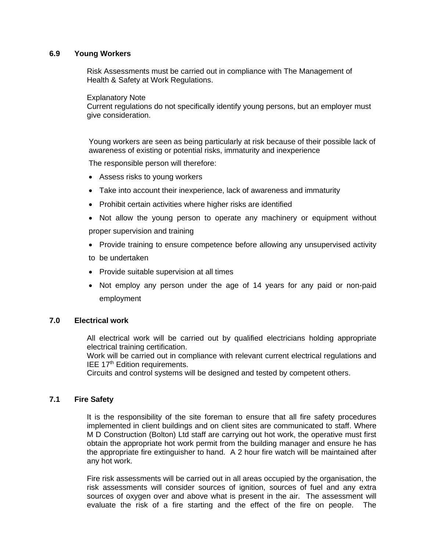## **6.9 Young Workers**

Risk Assessments must be carried out in compliance with The Management of Health & Safety at Work Regulations.

#### Explanatory Note

Current regulations do not specifically identify young persons, but an employer must give consideration.

Young workers are seen as being particularly at risk because of their possible lack of awareness of existing or potential risks, immaturity and inexperience

The responsible person will therefore:

- Assess risks to young workers
- Take into account their inexperience, lack of awareness and immaturity
- Prohibit certain activities where higher risks are identified
- Not allow the young person to operate any machinery or equipment without proper supervision and training
- Provide training to ensure competence before allowing any unsupervised activity
- to be undertaken
- Provide suitable supervision at all times
- Not employ any person under the age of 14 years for any paid or non-paid employment

#### **7.0 Electrical work**

All electrical work will be carried out by qualified electricians holding appropriate electrical training certification.

Work will be carried out in compliance with relevant current electrical regulations and IEE 17<sup>th</sup> Edition requirements.

Circuits and control systems will be designed and tested by competent others.

## **7.1 Fire Safety**

It is the responsibility of the site foreman to ensure that all fire safety procedures implemented in client buildings and on client sites are communicated to staff. Where M D Construction (Bolton) Ltd staff are carrying out hot work, the operative must first obtain the appropriate hot work permit from the building manager and ensure he has the appropriate fire extinguisher to hand. A 2 hour fire watch will be maintained after any hot work.

Fire risk assessments will be carried out in all areas occupied by the organisation, the risk assessments will consider sources of ignition, sources of fuel and any extra sources of oxygen over and above what is present in the air. The assessment will evaluate the risk of a fire starting and the effect of the fire on people. The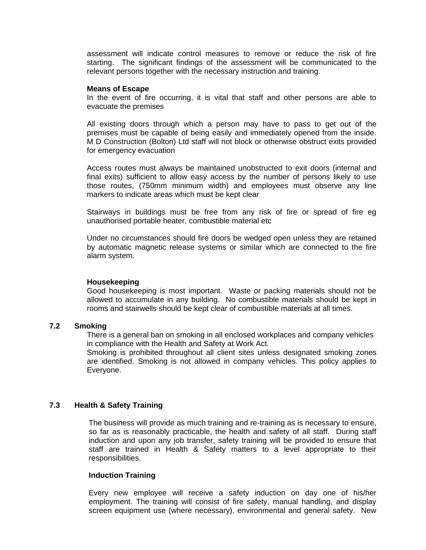assessment will indicate control measures to remove or reduce the risk of fire starting. The significant findings of the assessment will be communicated to the relevant persons together with the necessary instruction and training.

#### **Means of Escape**

In the event of fire occurring, it is vital that staff and other persons are able to evacuate the premises

All existing doors through which a person may have to pass to get out of the premises must be capable of being easily and immediately opened from the inside. M D Construction (Bolton) Ltd staff will not block or otherwise obstruct exits provided for emergency evacuation

Access routes must always be maintained unobstructed to exit doors (internal and final exits) sufficient to allow easy access by the number of persons likely to use those routes, (750mm minimum width) and employees must observe any line markers to indicate areas which must be kept clear

Stairways in buildings must be free from any risk of fire or spread of fire eg unauthorised portable heater, combustible material etc

Under no circumstances should fire doors be wedged open unless they are retained by automatic magnetic release systems or similar which are connected to the fire alarm system.

#### **Housekeeping**

Good housekeeping is most important. Waste or packing materials should not be allowed to accumulate in any building. No combustible materials should be kept in rooms and stairwells should be kept clear of combustible materials at all times.

## **7.2 Smoking**

There is a general ban on smoking in all enclosed workplaces and company vehicles in compliance with the Health and Safety at Work Act.

Smoking is prohibited throughout all client sites unless designated smoking zones are identified. Smoking is not allowed in company vehicles. This policy applies to Everyone.

#### **7.3 Health & Safety Training**

The business will provide as much training and re-training as is necessary to ensure, so far as is reasonably practicable, the health and safety of all staff. During staff induction and upon any job transfer, safety training will be provided to ensure that staff are trained in Health & Safety matters to a level appropriate to their responsibilities.

#### **Induction Training**

Every new employee will receive a safety induction on day one of his/her employment. The training will consist of fire safety, manual handling, and display screen equipment use (where necessary), environmental and general safety. New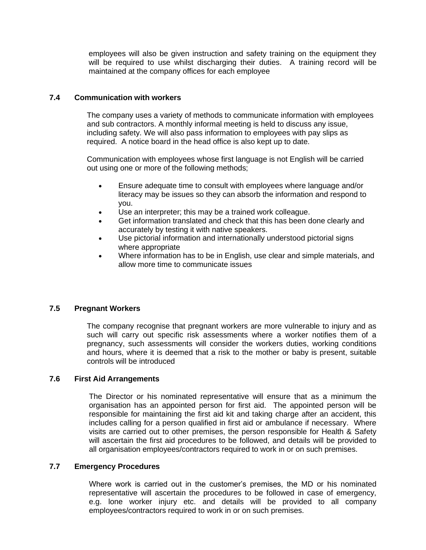employees will also be given instruction and safety training on the equipment they will be required to use whilst discharging their duties. A training record will be maintained at the company offices for each employee

#### **7.4 Communication with workers**

The company uses a variety of methods to communicate information with employees and sub contractors. A monthly informal meeting is held to discuss any issue, including safety. We will also pass information to employees with pay slips as required. A notice board in the head office is also kept up to date.

Communication with employees whose first language is not English will be carried out using one or more of the following methods;

- Ensure adequate time to consult with employees where language and/or literacy may be issues so they can absorb the information and respond to you.
- Use an interpreter; this may be a trained work colleague.
- Get information translated and check that this has been done clearly and accurately by testing it with native speakers.
- Use pictorial information and internationally understood pictorial signs where appropriate
- Where information has to be in English, use clear and simple materials, and allow more time to communicate issues

## **7.5 Pregnant Workers**

The company recognise that pregnant workers are more vulnerable to injury and as such will carry out specific risk assessments where a worker notifies them of a pregnancy, such assessments will consider the workers duties, working conditions and hours, where it is deemed that a risk to the mother or baby is present, suitable controls will be introduced

## **7.6 First Aid Arrangements**

The Director or his nominated representative will ensure that as a minimum the organisation has an appointed person for first aid. The appointed person will be responsible for maintaining the first aid kit and taking charge after an accident, this includes calling for a person qualified in first aid or ambulance if necessary. Where visits are carried out to other premises, the person responsible for Health & Safety will ascertain the first aid procedures to be followed, and details will be provided to all organisation employees/contractors required to work in or on such premises.

## **7.7 Emergency Procedures**

Where work is carried out in the customer's premises, the MD or his nominated representative will ascertain the procedures to be followed in case of emergency, e.g. lone worker injury etc. and details will be provided to all company employees/contractors required to work in or on such premises.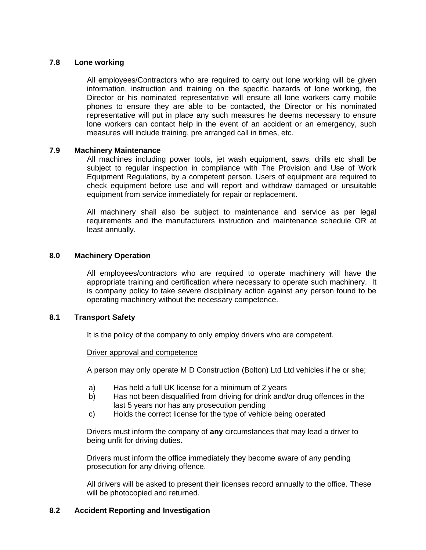## **7.8 Lone working**

All employees/Contractors who are required to carry out lone working will be given information, instruction and training on the specific hazards of lone working, the Director or his nominated representative will ensure all lone workers carry mobile phones to ensure they are able to be contacted, the Director or his nominated representative will put in place any such measures he deems necessary to ensure lone workers can contact help in the event of an accident or an emergency, such measures will include training, pre arranged call in times, etc.

## **7.9 Machinery Maintenance**

All machines including power tools, jet wash equipment, saws, drills etc shall be subject to regular inspection in compliance with The Provision and Use of Work Equipment Regulations, by a competent person. Users of equipment are required to check equipment before use and will report and withdraw damaged or unsuitable equipment from service immediately for repair or replacement.

All machinery shall also be subject to maintenance and service as per legal requirements and the manufacturers instruction and maintenance schedule OR at least annually.

#### **8.0 Machinery Operation**

All employees/contractors who are required to operate machinery will have the appropriate training and certification where necessary to operate such machinery. It is company policy to take severe disciplinary action against any person found to be operating machinery without the necessary competence.

## **8.1 Transport Safety**

It is the policy of the company to only employ drivers who are competent.

#### Driver approval and competence

A person may only operate M D Construction (Bolton) Ltd Ltd vehicles if he or she;

- a) Has held a full UK license for a minimum of 2 years
- b) Has not been disqualified from driving for drink and/or drug offences in the last 5 years nor has any prosecution pending
- c) Holds the correct license for the type of vehicle being operated

Drivers must inform the company of **any** circumstances that may lead a driver to being unfit for driving duties.

Drivers must inform the office immediately they become aware of any pending prosecution for any driving offence.

All drivers will be asked to present their licenses record annually to the office. These will be photocopied and returned.

## **8.2 Accident Reporting and Investigation**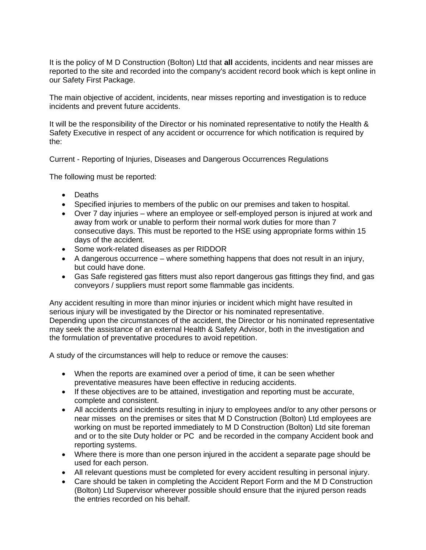It is the policy of M D Construction (Bolton) Ltd that **all** accidents, incidents and near misses are reported to the site and recorded into the company's accident record book which is kept online in our Safety First Package.

The main objective of accident, incidents, near misses reporting and investigation is to reduce incidents and prevent future accidents.

It will be the responsibility of the Director or his nominated representative to notify the Health & Safety Executive in respect of any accident or occurrence for which notification is required by the:

Current - Reporting of Injuries, Diseases and Dangerous Occurrences Regulations

The following must be reported:

- Deaths
- Specified injuries to members of the public on our premises and taken to hospital.
- Over 7 day injuries where an employee or self-employed person is injured at work and away from work or unable to perform their normal work duties for more than 7 consecutive days. This must be reported to the HSE using appropriate forms within 15 days of the accident.
- Some work-related diseases as per RIDDOR
- A dangerous occurrence where something happens that does not result in an injury, but could have done.
- Gas Safe registered gas fitters must also report dangerous gas fittings they find, and gas conveyors / suppliers must report some flammable gas incidents.

Any accident resulting in more than minor injuries or incident which might have resulted in serious injury will be investigated by the Director or his nominated representative. Depending upon the circumstances of the accident, the Director or his nominated representative may seek the assistance of an external Health & Safety Advisor, both in the investigation and the formulation of preventative procedures to avoid repetition.

A study of the circumstances will help to reduce or remove the causes:

- When the reports are examined over a period of time, it can be seen whether preventative measures have been effective in reducing accidents.
- If these objectives are to be attained, investigation and reporting must be accurate, complete and consistent.
- All accidents and incidents resulting in injury to employees and/or to any other persons or near misses on the premises or sites that M D Construction (Bolton) Ltd employees are working on must be reported immediately to M D Construction (Bolton) Ltd site foreman and or to the site Duty holder or PC and be recorded in the company Accident book and reporting systems.
- Where there is more than one person injured in the accident a separate page should be used for each person.
- All relevant questions must be completed for every accident resulting in personal injury.
- Care should be taken in completing the Accident Report Form and the M D Construction (Bolton) Ltd Supervisor wherever possible should ensure that the injured person reads the entries recorded on his behalf.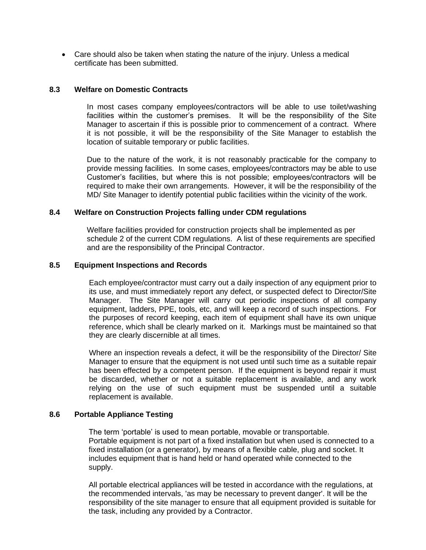• Care should also be taken when stating the nature of the injury. Unless a medical certificate has been submitted.

#### **8.3 Welfare on Domestic Contracts**

In most cases company employees/contractors will be able to use toilet/washing facilities within the customer's premises. It will be the responsibility of the Site Manager to ascertain if this is possible prior to commencement of a contract. Where it is not possible, it will be the responsibility of the Site Manager to establish the location of suitable temporary or public facilities.

Due to the nature of the work, it is not reasonably practicable for the company to provide messing facilities. In some cases, employees/contractors may be able to use Customer's facilities, but where this is not possible; employees/contractors will be required to make their own arrangements. However, it will be the responsibility of the MD/ Site Manager to identify potential public facilities within the vicinity of the work.

#### **8.4 Welfare on Construction Projects falling under CDM regulations**

Welfare facilities provided for construction projects shall be implemented as per schedule 2 of the current CDM regulations. A list of these requirements are specified and are the responsibility of the Principal Contractor.

#### **8.5 Equipment Inspections and Records**

Each employee/contractor must carry out a daily inspection of any equipment prior to its use, and must immediately report any defect, or suspected defect to Director/Site Manager. The Site Manager will carry out periodic inspections of all company equipment, ladders, PPE, tools, etc, and will keep a record of such inspections. For the purposes of record keeping, each item of equipment shall have its own unique reference, which shall be clearly marked on it. Markings must be maintained so that they are clearly discernible at all times.

Where an inspection reveals a defect, it will be the responsibility of the Director/ Site Manager to ensure that the equipment is not used until such time as a suitable repair has been effected by a competent person. If the equipment is beyond repair it must be discarded, whether or not a suitable replacement is available, and any work relying on the use of such equipment must be suspended until a suitable replacement is available.

#### **8.6 Portable Appliance Testing**

The term 'portable' is used to mean portable, movable or transportable. Portable equipment is not part of a fixed installation but when used is connected to a fixed installation (or a generator), by means of a flexible cable, plug and socket. It includes equipment that is hand held or hand operated while connected to the supply.

All portable electrical appliances will be tested in accordance with the regulations, at the recommended intervals, 'as may be necessary to prevent danger'. It will be the responsibility of the site manager to ensure that all equipment provided is suitable for the task, including any provided by a Contractor.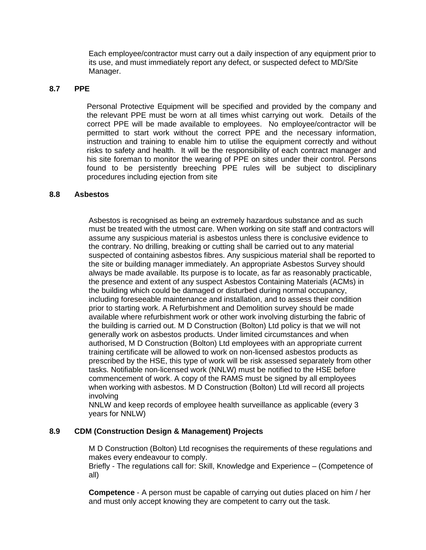Each employee/contractor must carry out a daily inspection of any equipment prior to its use, and must immediately report any defect, or suspected defect to MD/Site Manager.

#### **8.7 PPE**

Personal Protective Equipment will be specified and provided by the company and the relevant PPE must be worn at all times whist carrying out work. Details of the correct PPE will be made available to employees. No employee/contractor will be permitted to start work without the correct PPE and the necessary information, instruction and training to enable him to utilise the equipment correctly and without risks to safety and health. It will be the responsibility of each contract manager and his site foreman to monitor the wearing of PPE on sites under their control. Persons found to be persistently breeching PPE rules will be subject to disciplinary procedures including ejection from site

#### **8.8 Asbestos**

Asbestos is recognised as being an extremely hazardous substance and as such must be treated with the utmost care. When working on site staff and contractors will assume any suspicious material is asbestos unless there is conclusive evidence to the contrary. No drilling, breaking or cutting shall be carried out to any material suspected of containing asbestos fibres. Any suspicious material shall be reported to the site or building manager immediately. An appropriate Asbestos Survey should always be made available. Its purpose is to locate, as far as reasonably practicable, the presence and extent of any suspect Asbestos Containing Materials (ACMs) in the building which could be damaged or disturbed during normal occupancy, including foreseeable maintenance and installation, and to assess their condition prior to starting work. A Refurbishment and Demolition survey should be made available where refurbishment work or other work involving disturbing the fabric of the building is carried out. M D Construction (Bolton) Ltd policy is that we will not generally work on asbestos products. Under limited circumstances and when authorised, M D Construction (Bolton) Ltd employees with an appropriate current training certificate will be allowed to work on non-licensed asbestos products as prescribed by the HSE, this type of work will be risk assessed separately from other tasks. Notifiable non-licensed work (NNLW) must be notified to the HSE before commencement of work. A copy of the RAMS must be signed by all employees when working with asbestos. M D Construction (Bolton) Ltd will record all projects involving

NNLW and keep records of employee health surveillance as applicable (every 3 years for NNLW)

#### **8.9 CDM (Construction Design & Management) Projects**

M D Construction (Bolton) Ltd recognises the requirements of these regulations and makes every endeavour to comply.

Briefly - The regulations call for: Skill, Knowledge and Experience – (Competence of all)

**Competence** - A person must be capable of carrying out duties placed on him / her and must only accept knowing they are competent to carry out the task.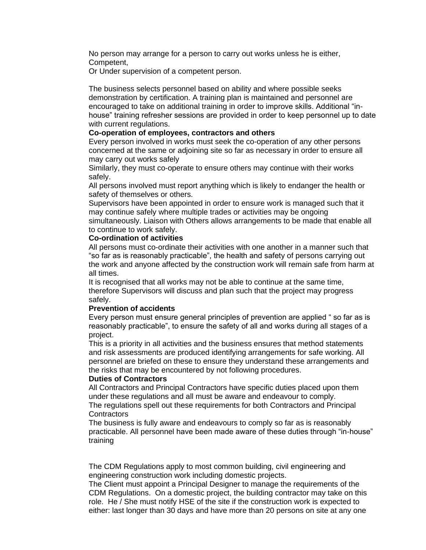No person may arrange for a person to carry out works unless he is either, Competent,

Or Under supervision of a competent person.

The business selects personnel based on ability and where possible seeks demonstration by certification. A training plan is maintained and personnel are encouraged to take on additional training in order to improve skills. Additional "inhouse" training refresher sessions are provided in order to keep personnel up to date with current regulations.

#### **Co-operation of employees, contractors and others**

Every person involved in works must seek the co-operation of any other persons concerned at the same or adjoining site so far as necessary in order to ensure all may carry out works safely

Similarly, they must co-operate to ensure others may continue with their works safely.

All persons involved must report anything which is likely to endanger the health or safety of themselves or others.

Supervisors have been appointed in order to ensure work is managed such that it may continue safely where multiple trades or activities may be ongoing simultaneously. Liaison with Others allows arrangements to be made that enable all to continue to work safely.

#### **Co-ordination of activities**

All persons must co-ordinate their activities with one another in a manner such that "so far as is reasonably practicable", the health and safety of persons carrying out the work and anyone affected by the construction work will remain safe from harm at all times.

It is recognised that all works may not be able to continue at the same time, therefore Supervisors will discuss and plan such that the project may progress safely.

#### **Prevention of accidents**

Every person must ensure general principles of prevention are applied " so far as is reasonably practicable", to ensure the safety of all and works during all stages of a project.

This is a priority in all activities and the business ensures that method statements and risk assessments are produced identifying arrangements for safe working. All personnel are briefed on these to ensure they understand these arrangements and the risks that may be encountered by not following procedures.

#### **Duties of Contractors**

All Contractors and Principal Contractors have specific duties placed upon them under these regulations and all must be aware and endeavour to comply. The regulations spell out these requirements for both Contractors and Principal

#### **Contractors**

The business is fully aware and endeavours to comply so far as is reasonably practicable. All personnel have been made aware of these duties through "in-house" training

The CDM Regulations apply to most common building, civil engineering and engineering construction work including domestic projects.

The Client must appoint a Principal Designer to manage the requirements of the CDM Regulations. On a domestic project, the building contractor may take on this role. He / She must notify HSE of the site if the construction work is expected to either: last longer than 30 days and have more than 20 persons on site at any one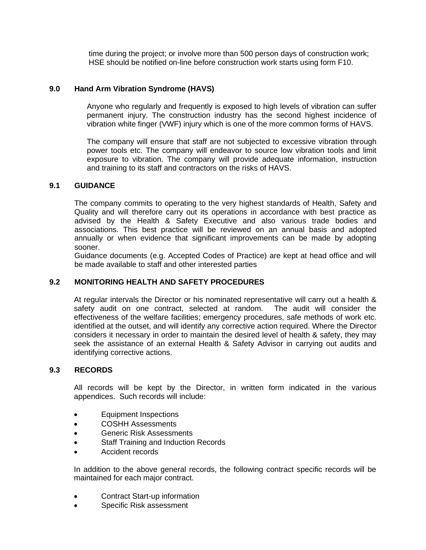time during the project; or involve more than 500 person days of construction work; HSE should be notified on-line before construction work starts using form F10.

## **9.0 Hand Arm Vibration Syndrome (HAVS)**

Anyone who regularly and frequently is exposed to high levels of vibration can suffer permanent injury. The construction industry has the second highest incidence of vibration white finger (VWF) injury which is one of the more common forms of HAVS.

The company will ensure that staff are not subjected to excessive vibration through power tools etc. The company will endeavor to source low vibration tools and limit exposure to vibration. The company will provide adequate information, instruction and training to its staff and contractors on the risks of HAVS.

## **9.1 GUIDANCE**

The company commits to operating to the very highest standards of Health, Safety and Quality and will therefore carry out its operations in accordance with best practice as advised by the Health & Safety Executive and also various trade bodies and associations. This best practice will be reviewed on an annual basis and adopted annually or when evidence that significant improvements can be made by adopting sooner.

Guidance documents (e.g. Accepted Codes of Practice) are kept at head office and will be made available to staff and other interested parties

## **9.2 MONITORING HEALTH AND SAFETY PROCEDURES**

At regular intervals the Director or his nominated representative will carry out a health & safety audit on one contract, selected at random. The audit will consider the effectiveness of the welfare facilities; emergency procedures, safe methods of work etc. identified at the outset, and will identify any corrective action required. Where the Director considers it necessary in order to maintain the desired level of health & safety, they may seek the assistance of an external Health & Safety Advisor in carrying out audits and identifying corrective actions.

## **9.3 RECORDS**

All records will be kept by the Director, in written form indicated in the various appendices. Such records will include:

- Equipment Inspections
- COSHH Assessments
- Generic Risk Assessments
- Staff Training and Induction Records
- Accident records

In addition to the above general records, the following contract specific records will be maintained for each major contract.

- Contract Start-up information
- Specific Risk assessment